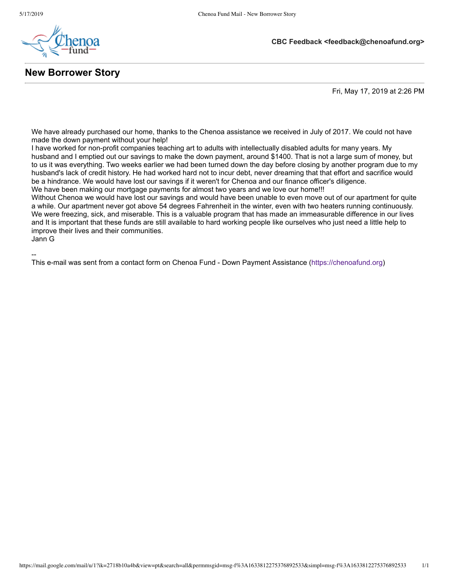--



**New Borrower Story**

Fri, May 17, 2019 at 2:26 PM

**CBC Feedback <feedback@chenoafund.org>**

We have already purchased our home, thanks to the Chenoa assistance we received in July of 2017. We could not have made the down payment without your help!

I have worked for non-profit companies teaching art to adults with intellectually disabled adults for many years. My husband and I emptied out our savings to make the down payment, around \$1400. That is not a large sum of money, but to us it was everything. Two weeks earlier we had been turned down the day before closing by another program due to my husband's lack of credit history. He had worked hard not to incur debt, never dreaming that that effort and sacrifice would be a hindrance. We would have lost our savings if it weren't for Chenoa and our finance officer's diligence. We have been making our mortgage payments for almost two years and we love our home!!!

Without Chenoa we would have lost our savings and would have been unable to even move out of our apartment for quite a while. Our apartment never got above 54 degrees Fahrenheit in the winter, even with two heaters running continuously. We were freezing, sick, and miserable. This is a valuable program that has made an immeasurable difference in our lives and It is important that these funds are still available to hard working people like ourselves who just need a little help to improve their lives and their communities. Jann G

This e-mail was sent from a contact form on Chenoa Fund - Down Payment Assistance ([https://chenoafund.org\)](https://chenoafund.org/)